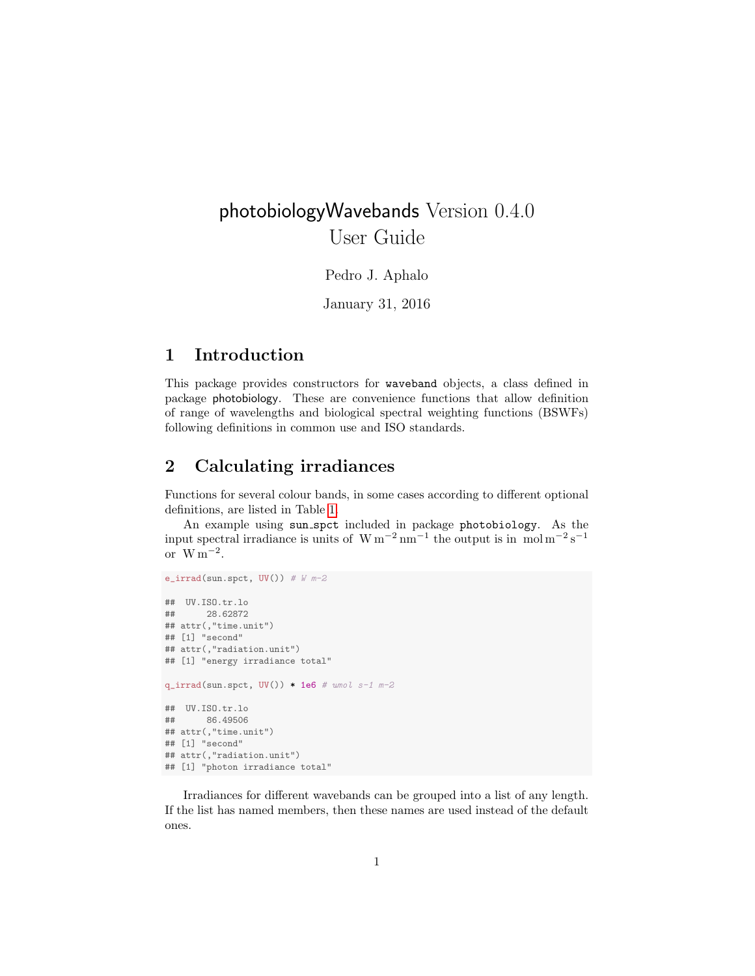# photobiologyWavebands Version 0.4.0 User Guide

Pedro J. Aphalo

January 31, 2016

#### 1 Introduction

This package provides constructors for waveband objects, a class defined in package photobiology. These are convenience functions that allow definition of range of wavelengths and biological spectral weighting functions (BSWFs) following definitions in common use and ISO standards.

#### 2 Calculating irradiances

Functions for several colour bands, in some cases according to different optional definitions, are listed in Table [1.](#page-1-0)

An example using sun spct included in package photobiology. As the input spectral irradiance is units of  $\rm W\,m^{-2}\,nm^{-1}$  the output is in mol $\rm m^{-2}\,s^{-1}$ or  $W m^{-2}$ .

```
e_irrad(sun.spct, UV()) # W m-2## UV.ISO.tr.lo
## 28.62872
## attr(,"time.unit")
## [1] "second"
## attr(,"radiation.unit")
## [1] "energy irradiance total"
q\_irrad(sum.spt, UV() * 1e6 # umol s-1 m-2
## UV.ISO.tr.lo
## 86.49506
## attr(,"time.unit")
## [1] "second"
## attr(,"radiation.unit")
## [1] "photon irradiance total"
```
Irradiances for different wavebands can be grouped into a list of any length. If the list has named members, then these names are used instead of the default ones.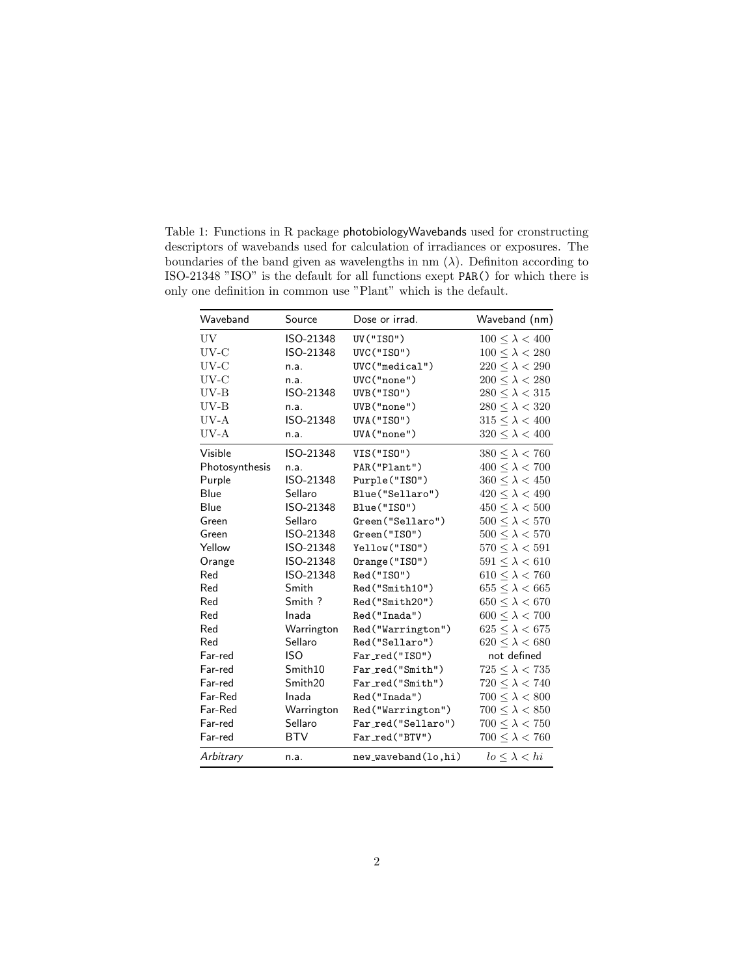| Waveband       | Source     | Dose or irrad.      | Waveband (nm)              |
|----------------|------------|---------------------|----------------------------|
| UV             | ISO-21348  | UV ("ISO")          | $100 \leq \lambda < 400$   |
| $UV-C$         | ISO-21348  | UVC("ISO")          | $100 \leq \lambda < 280$   |
| $UV-C$         | n.a.       | UVC("medical")      | $220 \leq \lambda < 290$   |
| UV-C           | n.a.       | UVC("none")         | $200 \leq \lambda < 280$   |
| $UV-B$         | ISO-21348  | UVB("ISO")          | $280 \leq \lambda < 315$   |
| $UV-B$         | n.a.       | UVB("none")         | $280 \leq \lambda < 320$   |
| $UV-A$         | ISO-21348  | <b>UVA("ISO")</b>   | $315 < \lambda < 400$      |
| UV-A           | n.a.       | UVA("none")         | $320 \leq \lambda < 400$   |
| Visible        | ISO-21348  | VIS("ISO")          | $380 \leq \lambda < 760$   |
| Photosynthesis | n.a.       | PAR("Plant")        | $400 \leq \lambda < 700$   |
| Purple         | ISO-21348  | Purple("ISO")       | $360 \leq \lambda < 450$   |
| Blue           | Sellaro    | Blue("Sellaro")     | $420 \leq \lambda < 490$   |
| Blue           | ISO-21348  | Blue("ISO")         | $450 \leq \lambda < 500$   |
| Green          | Sellaro    | Green("Sellaro")    | $500 \leq \lambda < 570$   |
| Green          | ISO-21348  | Green("ISO")        | $500 \leq \lambda < 570$   |
| Yellow         | ISO-21348  | Yellow("ISO")       | $570 \leq \lambda < 591$   |
| Orange         | ISO-21348  | Orange("ISO")       | $591 \leq \lambda < 610$   |
| Red            | ISO-21348  | Red("ISO")          | $610 \leq \lambda < 760$   |
| Red            | Smith      | Red("Smith10")      | $655 \leq \lambda < 665$   |
| Red            | Smith ?    | Red("Smith20")      | $650 \leq \lambda < 670$   |
| Red            | Inada      | Red("Inada")        | $600 \leq \lambda < 700$   |
| Red            | Warrington | Red("Warrington")   | $625 \leq \lambda < 675$   |
| Red            | Sellaro    | Red("Sellaro")      | $620 \leq \lambda < 680$   |
| Far-red        | <b>ISO</b> | Far_red("ISO")      | not defined                |
| Far-red        | Smith10    | Far_red("Smith")    | $725 \leq \lambda < 735$   |
| Far-red        | Smith20    | Far_red("Smith")    | $720 \leq \lambda < 740$   |
| Far-Red        | Inada      | Red("Inada")        | $700 \leq \lambda < 800$   |
| Far-Red        | Warrington | Red("Warrington")   | $700 \leq \lambda < 850$   |
| Far-red        | Sellaro    | Far_red("Sellaro")  | $700 \leq \lambda < 750$   |
| Far-red        | <b>BTV</b> | Far_red("BTV")      | $700 \leq \lambda < 760$   |
| Arbitrary      | n.a.       | new_waveband(lo,hi) | $l$ o $\leq \lambda < h$ i |

<span id="page-1-0"></span>Table 1: Functions in R package photobiologyWavebands used for cronstructing descriptors of wavebands used for calculation of irradiances or exposures. The boundaries of the band given as wavelengths in nm  $(\lambda)$ . Definition according to ISO-21348 "ISO" is the default for all functions exept PAR() for which there is only one definition in common use "Plant" which is the default.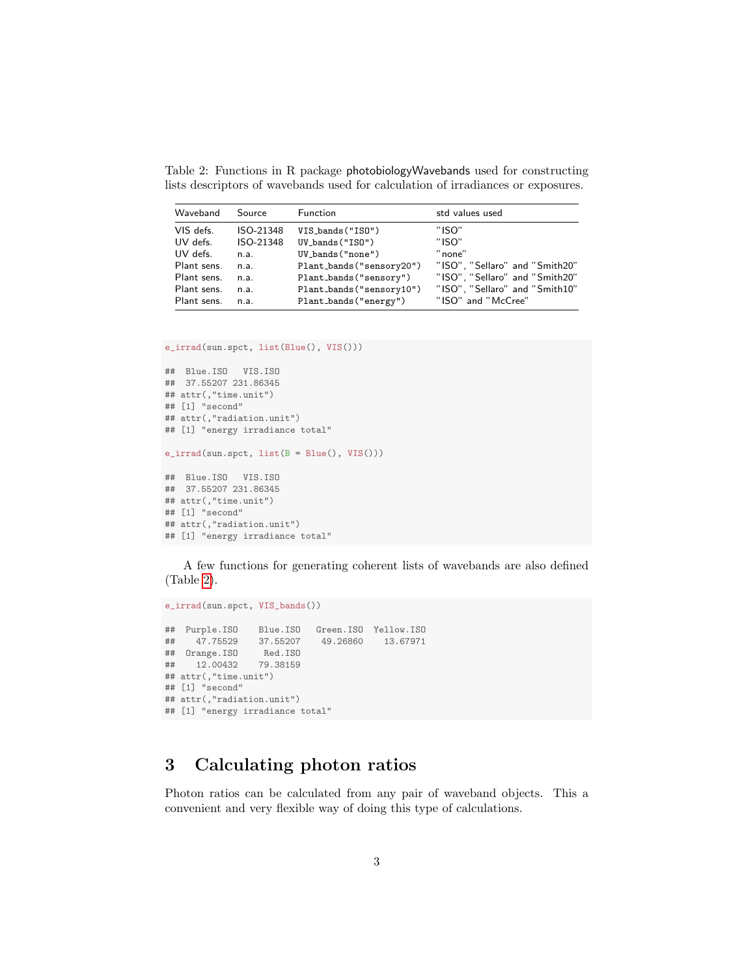<span id="page-2-0"></span>Table 2: Functions in R package photobiologyWavebands used for constructing lists descriptors of wavebands used for calculation of irradiances or exposures.

| Waveband    | Source    | Function                 | std values used                |
|-------------|-----------|--------------------------|--------------------------------|
| VIS defs.   | ISO-21348 | VIS_bands("ISO")         | "ISO"                          |
| UV defs.    | ISO-21348 | $UV_bands("ISO")$        | "ISO"                          |
| UV defs.    | n.a.      | UV_bands("none")         | "none"                         |
| Plant sens. | n.a.      | Plant_bands("sensory20") | "ISO", "Sellaro" and "Smith20" |
| Plant sens. | n.a.      | Plant_bands("sensory")   | "ISO", "Sellaro" and "Smith20" |
| Plant sens. | n.a.      | Plant_bands("sensory10") | "ISO", "Sellaro" and "Smith10" |
| Plant sens. | n.a.      | Plant_bands("energy")    | "ISO" and "McCree"             |

```
e_irrad(sun.spct, list(Blue(), VIS()))
```

```
## Blue.ISO VIS.ISO
## 37.55207 231.86345
## attr(,"time.unit")
## [1] "second"
## attr(,"radiation.unit")
## [1] "energy irradiance total"
e_irrad(sun.spct, list(B = Blue(), VIS()))
## Blue.ISO VIS.ISO
## 37.55207 231.86345
## attr(,"time.unit")
## [1] "second"
## attr(,"radiation.unit")
## [1] "energy irradiance total"
```
A few functions for generating coherent lists of wavebands are also defined (Table [2\)](#page-2-0).

```
e_irrad(sun.spct, VIS_bands())
## Purple.ISO Blue.ISO Green.ISO Yellow.ISO
## 47.75529 37.55207<br>## Orange.ISO Red.ISO
## Orange.ISO Red.ISO
    12.00432
## attr(,"time.unit")
## [1] "second"
## attr(,"radiation.unit")
## [1] "energy irradiance total"
```
### 3 Calculating photon ratios

Photon ratios can be calculated from any pair of waveband objects. This a convenient and very flexible way of doing this type of calculations.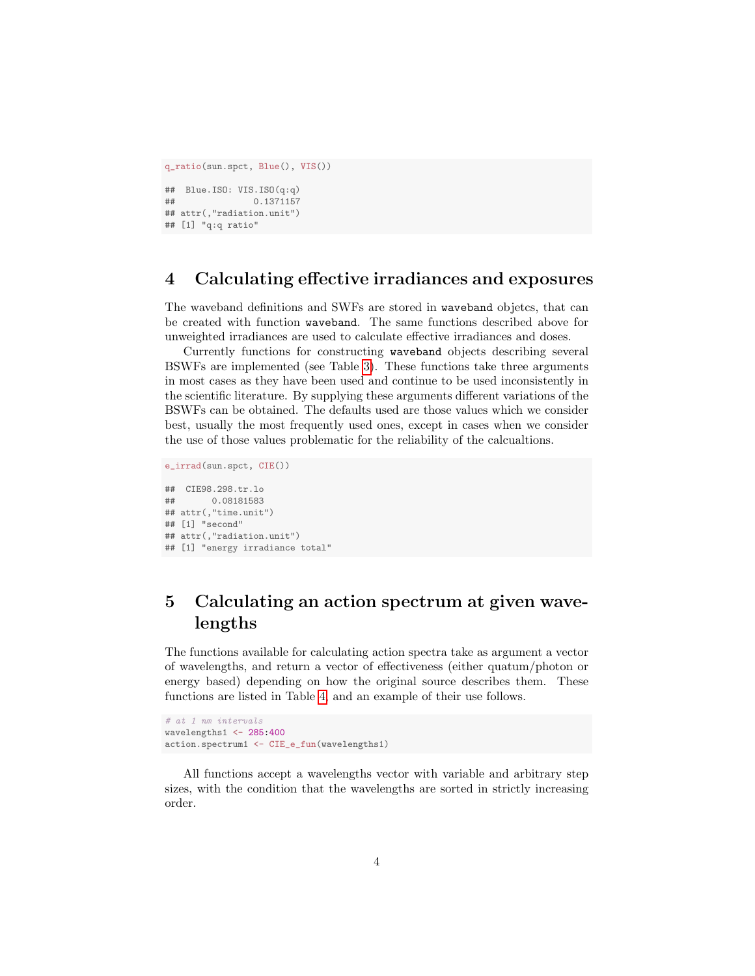```
q_ratio(sun.spct, Blue(), VIS())
## Blue.ISO: VIS.ISO(q:q)
## 0.1371157
## attr(,"radiation.unit")
## [1] "q:q ratio"
```
#### 4 Calculating effective irradiances and exposures

The waveband definitions and SWFs are stored in waveband objetcs, that can be created with function waveband. The same functions described above for unweighted irradiances are used to calculate effective irradiances and doses.

Currently functions for constructing waveband objects describing several BSWFs are implemented (see Table [3\)](#page-4-0). These functions take three arguments in most cases as they have been used and continue to be used inconsistently in the scientific literature. By supplying these arguments different variations of the BSWFs can be obtained. The defaults used are those values which we consider best, usually the most frequently used ones, except in cases when we consider the use of those values problematic for the reliability of the calcualtions.

```
e_irrad(sun.spct, CIE())
## CIE98.298.tr.lo
        0.08181583
## attr(,"time.unit")
## [1] "second"
## attr(,"radiation.unit")
## [1] "energy irradiance total"
```
## 5 Calculating an action spectrum at given wavelengths

The functions available for calculating action spectra take as argument a vector of wavelengths, and return a vector of effectiveness (either quatum/photon or energy based) depending on how the original source describes them. These functions are listed in Table [4,](#page-5-0) and an example of their use follows.

```
# at 1 nm intervals
wavelengths1 <- 285:400
action.spectrum1 <- CIE_e_fun(wavelengths1)
```
All functions accept a wavelengths vector with variable and arbitrary step sizes, with the condition that the wavelengths are sorted in strictly increasing order.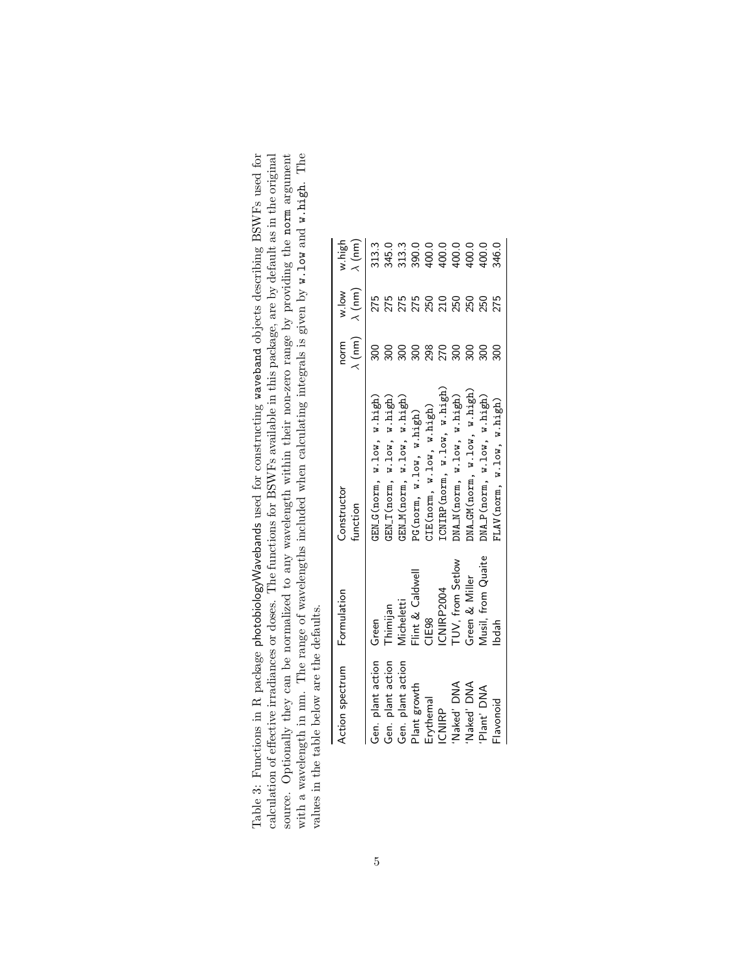<span id="page-4-0"></span>

| Table 3: Functions in R package photobiologyWavebands used for constructing vaveband objects describing BSWFs used for | calculation of effective irradiances or doses. The functions for BSWFs available in this package, are by default as in the original | source. Optionally they can be normalized to any wavelength within their non-zero range by providing the norm argument | with a wavelength in nm. The range of wavelengths included when calculating integrals is given by w.1ow and w.high. The |                                             |
|------------------------------------------------------------------------------------------------------------------------|-------------------------------------------------------------------------------------------------------------------------------------|------------------------------------------------------------------------------------------------------------------------|-------------------------------------------------------------------------------------------------------------------------|---------------------------------------------|
|                                                                                                                        |                                                                                                                                     |                                                                                                                        |                                                                                                                         |                                             |
|                                                                                                                        |                                                                                                                                     |                                                                                                                        |                                                                                                                         | values in the table below are the defaults. |

| Action spectrum   | Formulation         | Constructor<br>function      | $\lambda$ (nm)<br>norm | $\lambda$ (nm)<br>w.low                       | $\lambda$ (nm)<br>nigh                                                                                                                                                                                                                                                                              |
|-------------------|---------------------|------------------------------|------------------------|-----------------------------------------------|-----------------------------------------------------------------------------------------------------------------------------------------------------------------------------------------------------------------------------------------------------------------------------------------------------|
| Gen. plant action | Green               | GENG(norm, w.low, w.high)    | 300                    | 275                                           |                                                                                                                                                                                                                                                                                                     |
| Gen. plant action | Thimijan            | HN_T(norm, w.low, w.high)    | 300                    |                                               |                                                                                                                                                                                                                                                                                                     |
| Gen. plant action | Micheletti          | GEN_M(norm, w.low, w.high)   | 300                    |                                               |                                                                                                                                                                                                                                                                                                     |
| Plant growth      | Flint & Caldwell    | PG(norm, w.low, w.hisp)      |                        |                                               |                                                                                                                                                                                                                                                                                                     |
| Erythemal         | CIE <sub>98</sub>   | CIE(norm, w.low, w.high)     |                        |                                               |                                                                                                                                                                                                                                                                                                     |
| <b>ICNIRP</b>     | ICNIRP2004          | ICNIRP (norm, w.low, w.high) | ន្តក្តុន្តន            | <b>ក្តុក្តុម ក្តុម ក្តុម ក្តុម ក្តុម ក្តុ</b> | $\begin{array}{l} 31.31 \\ 31.41 \\ 31.51 \\ 31.52 \\ 31.53 \\ 31.54 \\ 31.55 \\ 31.56 \\ 31.57 \\ 31.58 \\ 31.59 \\ 32.59 \\ 33.54 \\ 34.54 \\ 35.55 \\ 36.56 \\ 37.57 \\ 38.59 \\ 39.59 \\ 30.59 \\ 31.59 \\ 32.59 \\ 33.59 \\ 34.59 \\ 35.59 \\ 36.59 \\ 37.59 \\ 38.59 \\ 39.59 \\ 39.59 \\ 30$ |
| Naked' DNA        | TUV, from Setlow    | MA_N(norm, w.low, w.high)    |                        |                                               |                                                                                                                                                                                                                                                                                                     |
| Naked' DNA        | Green & Miller      | $MA_GM(norm, w.1ow, w.hisp)$ |                        |                                               |                                                                                                                                                                                                                                                                                                     |
| Plant' DNA        | Vlusil, from Quaite | MA_P(norm, w.low, w.high)    | $\frac{50}{20}$        |                                               |                                                                                                                                                                                                                                                                                                     |
| Flavonoid         | bdah                | TLAV(norm, w.low, w.hisp)    | 300                    | 275                                           |                                                                                                                                                                                                                                                                                                     |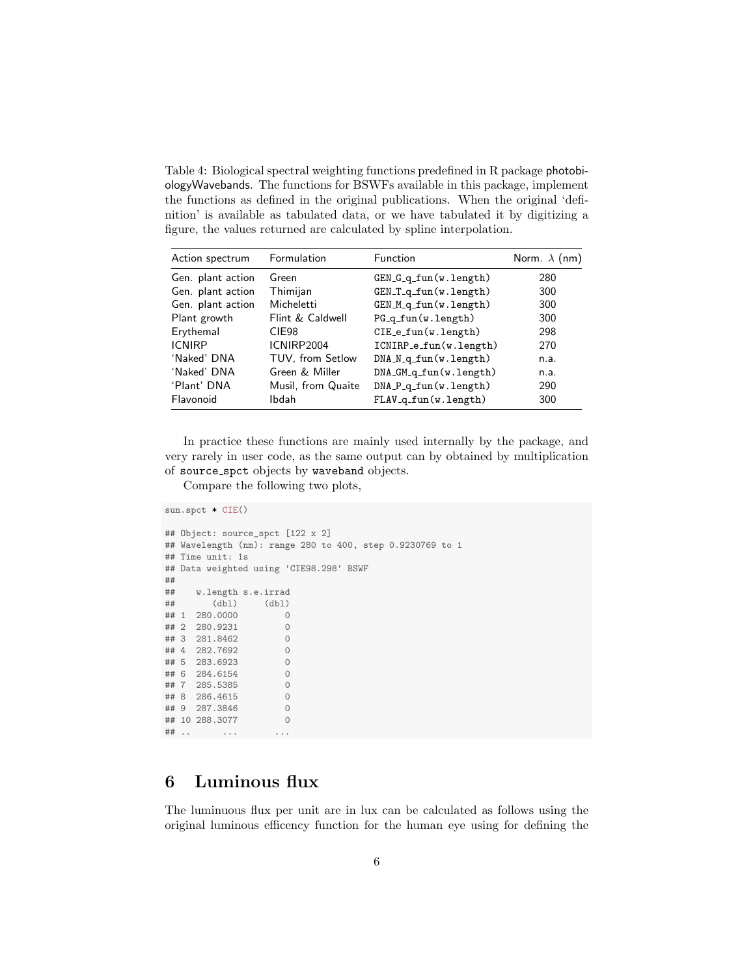<span id="page-5-0"></span>Table 4: Biological spectral weighting functions predefined in R package photobiologyWavebands. The functions for BSWFs available in this package, implement the functions as defined in the original publications. When the original 'definition' is available as tabulated data, or we have tabulated it by digitizing a figure, the values returned are calculated by spline interpolation.

| Action spectrum   | Formulation        | Function                     | Norm. $\lambda$ (nm) |
|-------------------|--------------------|------------------------------|----------------------|
| Gen. plant action | Green              | $GEN_G_q_tun(w.length)$      | 280                  |
| Gen. plant action | Thimijan           | $GEN\_T_q$ _fun $(w.length)$ | 300                  |
| Gen. plant action | Micheletti         | $GEN_M_q$ _fun(w.length)     | 300                  |
| Plant growth      | Flint & Caldwell   | $PG_q_fun(w.length)$         | 300                  |
| Erythemal         | CIE <sub>98</sub>  | $CIE_e_fun(w.length)$        | 298                  |
| <b>ICNIRP</b>     | ICNIRP2004         | ICNIRP_e_fun(w.length)       | 270                  |
| 'Naked' DNA       | TUV, from Setlow   | $DNA_N_q_tun(w.length)$      | n.a.                 |
| 'Naked' DNA       | Green & Miller     | $DNA_GM_q_tun(w.length)$     | n.a.                 |
| 'Plant' DNA       | Musil, from Quaite | $DNA_P_q_tun(w.length)$      | 290                  |
| Flavonoid         | Ibdah              | $FLAV_q_fun(w.length)$       | 300                  |

In practice these functions are mainly used internally by the package, and very rarely in user code, as the same output can by obtained by multiplication of source spct objects by waveband objects.

Compare the following two plots,

```
sun.spct * CIE()
## Object: source_spct [122 x 2]
## Wavelength (nm): range 280 to 400, step 0.9230769 to 1
## Time unit: 1s
## Data weighted using 'CIE98.298' BSWF
##
     w.length s.e.irrad
## (dbl) (dbl)<br>## 1 280.0000 0
## 1 280.0000
## 2 280.9231 0
## 3 281.8462 0
## 4 282.7692 0
## 5 283.6923 0
## 6 284.6154 0
## 7 285.5385 0
## 8 286.4615 0
## 9 287.3846 0
## 10 288.3077 0
## .. ... ...
```
#### 6 Luminous flux

The luminuous flux per unit are in lux can be calculated as follows using the original luminous efficency function for the human eye using for defining the